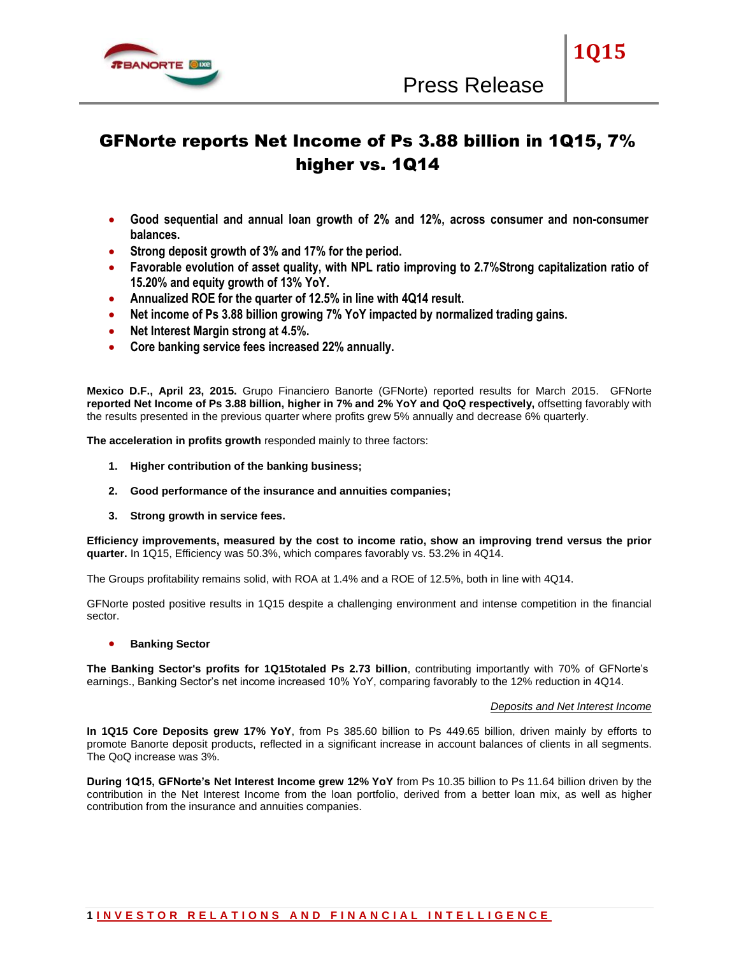

**1Q15**

# GFNorte reports Net Income of Ps 3.88 billion in 1Q15, 7% higher vs. 1Q14

- **Good sequential and annual loan growth of 2% and 12%, across consumer and non-consumer balances.**
- **Strong deposit growth of 3% and 17% for the period.**
- **Favorable evolution of asset quality, with NPL ratio improving to 2.7%Strong capitalization ratio of 15.20% and equity growth of 13% YoY.**
- **Annualized ROE for the quarter of 12.5% in line with 4Q14 result.**
- **Net income of Ps 3.88 billion growing 7% YoY impacted by normalized trading gains.**
- **Net Interest Margin strong at 4.5%.**
- **Core banking service fees increased 22% annually.**

**Mexico D.F., April 23, 2015.** Grupo Financiero Banorte (GFNorte) reported results for March 2015. GFNorte **reported Net Income of Ps 3.88 billion, higher in 7% and 2% YoY and QoQ respectively,** offsetting favorably with the results presented in the previous quarter where profits grew 5% annually and decrease 6% quarterly.

**The acceleration in profits growth** responded mainly to three factors:

- **1. Higher contribution of the banking business;**
- **2. Good performance of the insurance and annuities companies;**
- **3. Strong growth in service fees.**

**Efficiency improvements, measured by the cost to income ratio, show an improving trend versus the prior quarter.** In 1Q15, Efficiency was 50.3%, which compares favorably vs. 53.2% in 4Q14.

The Groups profitability remains solid, with ROA at 1.4% and a ROE of 12.5%, both in line with 4Q14.

GFNorte posted positive results in 1Q15 despite a challenging environment and intense competition in the financial sector.

**Banking Sector**

**The Banking Sector's profits for 1Q15totaled Ps 2.73 billion**, contributing importantly with 70% of GFNorte's earnings., Banking Sector's net income increased 10% YoY, comparing favorably to the 12% reduction in 4Q14.

# *Deposits and Net Interest Income*

**In 1Q15 Core Deposits grew 17% YoY**, from Ps 385.60 billion to Ps 449.65 billion, driven mainly by efforts to promote Banorte deposit products, reflected in a significant increase in account balances of clients in all segments. The QoQ increase was 3%.

**During 1Q15, GFNorte's Net Interest Income grew 12% YoY** from Ps 10.35 billion to Ps 11.64 billion driven by the contribution in the Net Interest Income from the loan portfolio, derived from a better loan mix, as well as higher contribution from the insurance and annuities companies.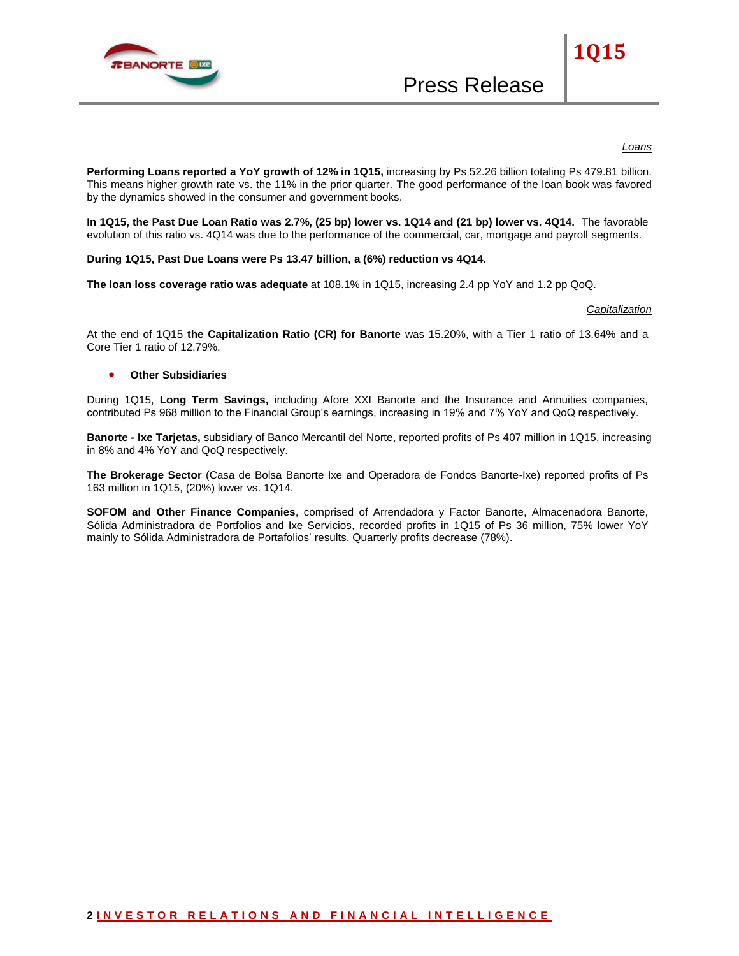

# *Loans*

**1Q15**

**Performing Loans reported a YoY growth of 12% in 1Q15,** increasing by Ps 52.26 billion totaling Ps 479.81 billion. This means higher growth rate vs. the 11% in the prior quarter. The good performance of the loan book was favored by the dynamics showed in the consumer and government books.

**In 1Q15, the Past Due Loan Ratio was 2.7%, (25 bp) lower vs. 1Q14 and (21 bp) lower vs. 4Q14.** The favorable evolution of this ratio vs. 4Q14 was due to the performance of the commercial, car, mortgage and payroll segments.

**During 1Q15, Past Due Loans were Ps 13.47 billion, a (6%) reduction vs 4Q14.**

**The loan loss coverage ratio was adequate** at 108.1% in 1Q15, increasing 2.4 pp YoY and 1.2 pp QoQ.

# *Capitalization*

At the end of 1Q15 **the Capitalization Ratio (CR) for Banorte** was 15.20%, with a Tier 1 ratio of 13.64% and a Core Tier 1 ratio of 12.79%.

# **Other Subsidiaries**

During 1Q15, **Long Term Savings,** including Afore XXI Banorte and the Insurance and Annuities companies, contributed Ps 968 million to the Financial Group's earnings, increasing in 19% and 7% YoY and QoQ respectively.

**Banorte - Ixe Tarjetas,** subsidiary of Banco Mercantil del Norte, reported profits of Ps 407 million in 1Q15, increasing in 8% and 4% YoY and QoQ respectively.

**The Brokerage Sector** (Casa de Bolsa Banorte Ixe and Operadora de Fondos Banorte-Ixe) reported profits of Ps 163 million in 1Q15, (20%) lower vs. 1Q14.

**SOFOM and Other Finance Companies**, comprised of Arrendadora y Factor Banorte, Almacenadora Banorte, Sólida Administradora de Portfolios and Ixe Servicios, recorded profits in 1Q15 of Ps 36 million, 75% lower YoY mainly to Sólida Administradora de Portafolios' results. Quarterly profits decrease (78%).